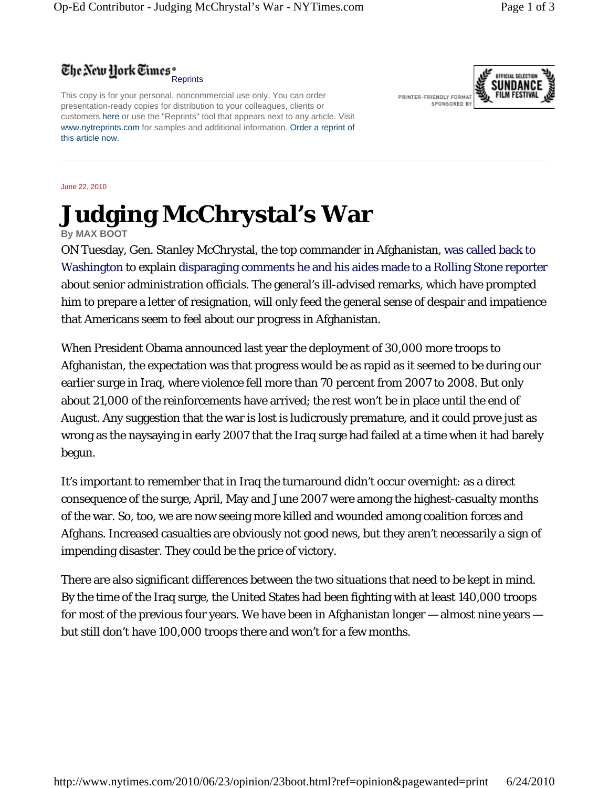## Op-Ed Contributor - Judging McChrystal's War - NYTimes.com Page 1 of 3

## The New Hork Times **Reprints**

This copy is for your personal, noncommercial use only. You can order presentation-ready copies for distribution to your colleagues, clients or customers here or use the "Reprints" tool that appears next to any article. Visit www.nytreprints.com for samples and additional information. Order a reprint of this article now.

PRINTER-FRIENDLY FORMAT SPONSORED BY



June 22, 2010

## **Judging McChrystal's War**

**By MAX BOOT** 

ON Tuesday, Gen. Stanley McChrystal, the top commander in Afghanistan, was called back to Washington to explain disparaging comments he and his aides made to a Rolling Stone reporter about senior administration officials. The general's ill-advised remarks, which have prompted him to prepare a letter of resignation, will only feed the general sense of despair and impatience that Americans seem to feel about our progress in Afghanistan.

When President Obama announced last year the deployment of 30,000 more troops to Afghanistan, the expectation was that progress would be as rapid as it seemed to be during our earlier surge in Iraq, where violence fell more than 70 percent from 2007 to 2008. But only about 21,000 of the reinforcements have arrived; the rest won't be in place until the end of August. Any suggestion that the war is lost is ludicrously premature, and it could prove just as wrong as the naysaying in early 2007 that the Iraq surge had failed at a time when it had barely begun.

It's important to remember that in Iraq the turnaround didn't occur overnight: as a direct consequence of the surge, April, May and June 2007 were among the highest-casualty months of the war. So, too, we are now seeing more killed and wounded among coalition forces and Afghans. Increased casualties are obviously not good news, but they aren't necessarily a sign of impending disaster. They could be the price of victory.

There are also significant differences between the two situations that need to be kept in mind. By the time of the Iraq surge, the United States had been fighting with at least 140,000 troops for most of the previous four years. We have been in Afghanistan longer — almost nine years but still don't have 100,000 troops there and won't for a few months.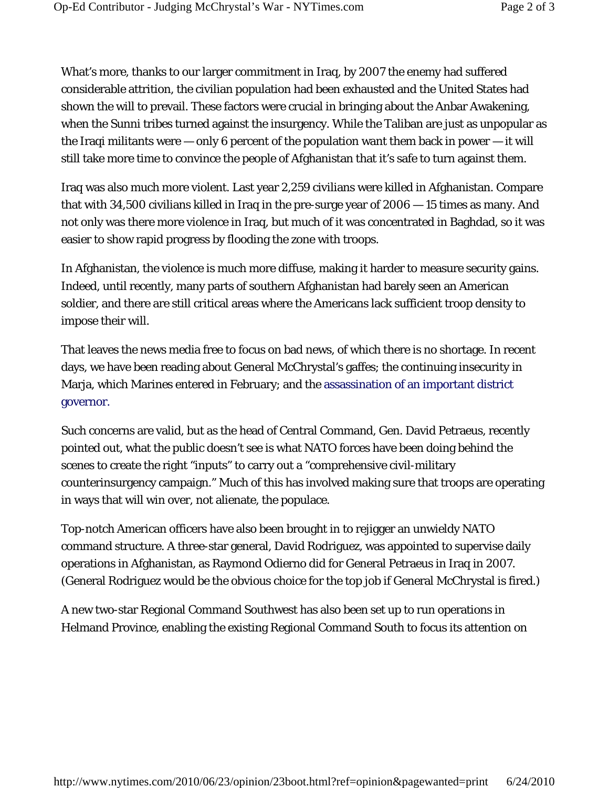What's more, thanks to our larger commitment in Iraq, by 2007 the enemy had suffered considerable attrition, the civilian population had been exhausted and the United States had shown the will to prevail. These factors were crucial in bringing about the Anbar Awakening, when the Sunni tribes turned against the insurgency. While the Taliban are just as unpopular as the Iraqi militants were  $-$  only 6 percent of the population want them back in power  $-$  it will still take more time to convince the people of Afghanistan that it's safe to turn against them.

Iraq was also much more violent. Last year 2,259 civilians were killed in Afghanistan. Compare that with 34,500 civilians killed in Iraq in the pre-surge year of 2006 — 15 times as many. And not only was there more violence in Iraq, but much of it was concentrated in Baghdad, so it was easier to show rapid progress by flooding the zone with troops.

In Afghanistan, the violence is much more diffuse, making it harder to measure security gains. Indeed, until recently, many parts of southern Afghanistan had barely seen an American soldier, and there are still critical areas where the Americans lack sufficient troop density to impose their will.

That leaves the news media free to focus on bad news, of which there is no shortage. In recent days, we have been reading about General McChrystal's gaffes; the continuing insecurity in Marja, which Marines entered in February; and the assassination of an important district governor.

Such concerns are valid, but as the head of Central Command, Gen. David Petraeus, recently pointed out, what the public doesn't see is what NATO forces have been doing behind the scenes to create the right "inputs" to carry out a "comprehensive civil-military counterinsurgency campaign." Much of this has involved making sure that troops are operating in ways that will win over, not alienate, the populace.

Top-notch American officers have also been brought in to rejigger an unwieldy NATO command structure. A three-star general, David Rodriguez, was appointed to supervise daily operations in Afghanistan, as Raymond Odierno did for General Petraeus in Iraq in 2007. (General Rodriguez would be the obvious choice for the top job if General McChrystal is fired.)

A new two-star Regional Command Southwest has also been set up to run operations in Helmand Province, enabling the existing Regional Command South to focus its attention on